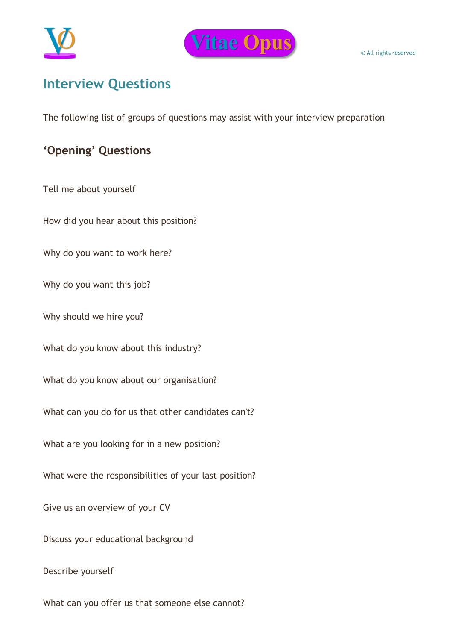



# **Interview Questions**

The following list of groups of questions may assist with your interview preparation

# **'Opening' Questions**

Tell me about yourself

How did you hear about this position?

Why do you want to work here?

Why do you want this job?

Why should we hire you?

What do you know about this industry?

What do you know about our organisation?

What can you do for us that other candidates can't?

What are you looking for in a new position?

What were the responsibilities of your last position?

Give us an overview of your CV

Discuss your educational background

Describe yourself

What can you offer us that someone else cannot?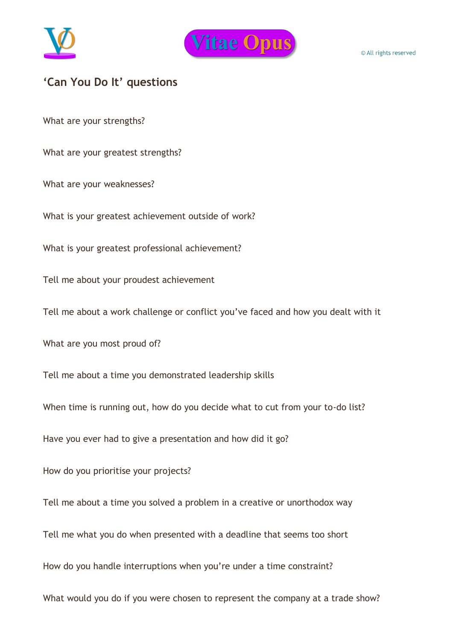



#### **'Can You Do It' questions**

What are your strengths?

What are your greatest strengths?

What are your weaknesses?

What is your greatest achievement outside of work?

What is your greatest professional achievement?

Tell me about your proudest achievement

Tell me about a work challenge or conflict you've faced and how you dealt with it

What are you most proud of?

Tell me about a time you demonstrated leadership skills

When time is running out, how do you decide what to cut from your to-do list?

Have you ever had to give a presentation and how did it go?

How do you prioritise your projects?

Tell me about a time you solved a problem in a creative or unorthodox way

Tell me what you do when presented with a deadline that seems too short

How do you handle interruptions when you're under a time constraint?

What would you do if you were chosen to represent the company at a trade show?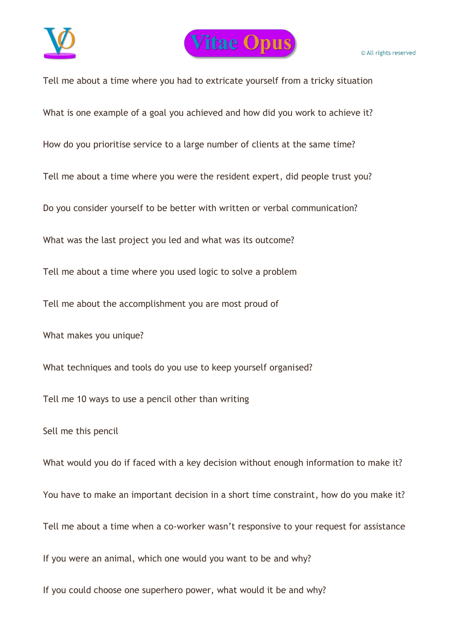

Tell me about a time where you had to extricate yourself from a tricky situation What is one example of a goal you achieved and how did you work to achieve it? How do you prioritise service to a large number of clients at the same time? Tell me about a time where you were the resident expert, did people trust you? Do you consider yourself to be better with written or verbal communication? What was the last project you led and what was its outcome? Tell me about a time where you used logic to solve a problem Tell me about the accomplishment you are most proud of What makes you unique? What techniques and tools do you use to keep yourself organised? Tell me 10 ways to use a pencil other than writing Sell me this pencil What would you do if faced with a key decision without enough information to make it? You have to make an important decision in a short time constraint, how do you make it? Tell me about a time when a co-worker wasn't responsive to your request for assistance If you were an animal, which one would you want to be and why? If you could choose one superhero power, what would it be and why?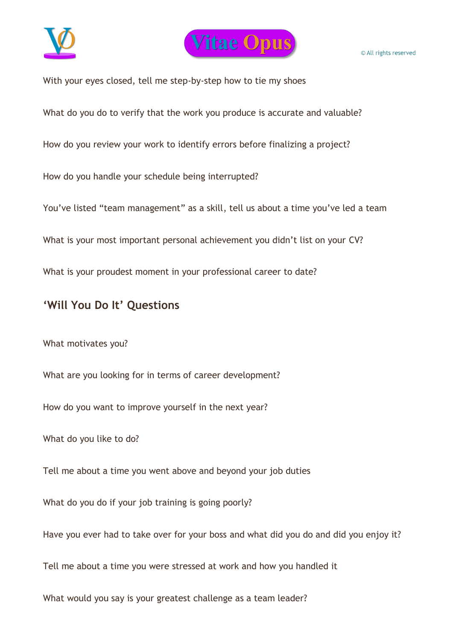



With your eyes closed, tell me step-by-step how to tie my shoes

What do you do to verify that the work you produce is accurate and valuable?

How do you review your work to identify errors before finalizing a project?

How do you handle your schedule being interrupted?

You've listed "team management" as a skill, tell us about a time you've led a team

What is your most important personal achievement you didn't list on your CV?

What is your proudest moment in your professional career to date?

#### **'Will You Do It' Questions**

What motivates you?

What are you looking for in terms of career development?

How do you want to improve yourself in the next year?

What do you like to do?

Tell me about a time you went above and beyond your job duties

What do you do if your job training is going poorly?

Have you ever had to take over for your boss and what did you do and did you enjoy it?

Tell me about a time you were stressed at work and how you handled it

What would you say is your greatest challenge as a team leader?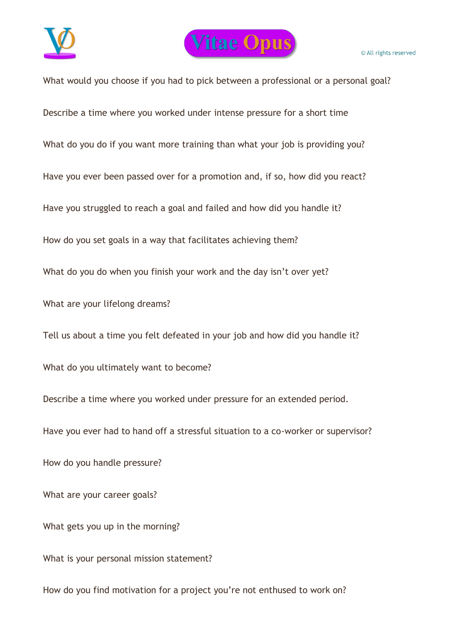



What would you choose if you had to pick between a professional or a personal goal? Describe a time where you worked under intense pressure for a short time What do you do if you want more training than what your job is providing you? Have you ever been passed over for a promotion and, if so, how did you react? Have you struggled to reach a goal and failed and how did you handle it? How do you set goals in a way that facilitates achieving them? What do you do when you finish your work and the day isn't over yet? What are your lifelong dreams? Tell us about a time you felt defeated in your job and how did you handle it? What do you ultimately want to become? Describe a time where you worked under pressure for an extended period. Have you ever had to hand off a stressful situation to a co-worker or supervisor? How do you handle pressure? What are your career goals? What gets you up in the morning? What is your personal mission statement? How do you find motivation for a project you're not enthused to work on?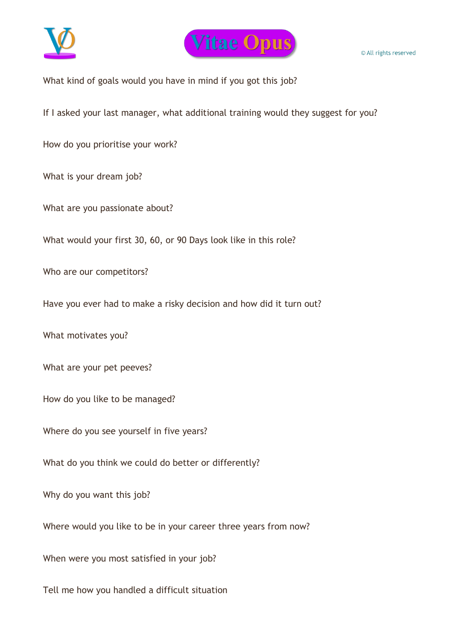



What kind of goals would you have in mind if you got this job?

If I asked your last manager, what additional training would they suggest for you?

How do you prioritise your work?

What is your dream job?

What are you passionate about?

What would your first 30, 60, or 90 Days look like in this role?

Who are our competitors?

Have you ever had to make a risky decision and how did it turn out?

What motivates you?

What are your pet peeves?

How do you like to be managed?

Where do you see yourself in five years?

What do you think we could do better or differently?

Why do you want this job?

Where would you like to be in your career three years from now?

When were you most satisfied in your job?

Tell me how you handled a difficult situation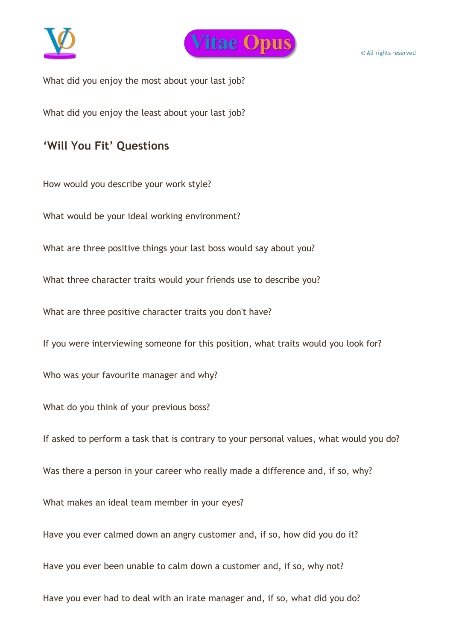



What did you enjoy the most about your last job?

What did you enjoy the least about your last job?

## **'Will You Fit' Questions**

How would you describe your work style?

What would be your ideal working environment?

What are three positive things your last boss would say about you?

What three character traits would your friends use to describe you?

What are three positive character traits you don't have?

If you were interviewing someone for this position, what traits would you look for?

Who was your favourite manager and why?

What do you think of your previous boss?

If asked to perform a task that is contrary to your personal values, what would you do?

Was there a person in your career who really made a difference and, if so, why?

What makes an ideal team member in your eyes?

Have you ever calmed down an angry customer and, if so, how did you do it?

Have you ever been unable to calm down a customer and, if so, why not?

Have you ever had to deal with an irate manager and, if so, what did you do?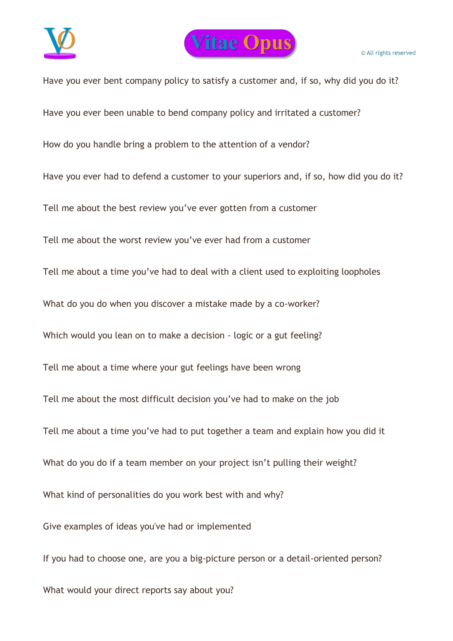



Have you ever bent company policy to satisfy a customer and, if so, why did you do it? Have you ever been unable to bend company policy and irritated a customer? How do you handle bring a problem to the attention of a vendor? Have you ever had to defend a customer to your superiors and, if so, how did you do it? Tell me about the best review you've ever gotten from a customer Tell me about the worst review you've ever had from a customer Tell me about a time you've had to deal with a client used to exploiting loopholes What do you do when you discover a mistake made by a co-worker? Which would you lean on to make a decision - logic or a gut feeling? Tell me about a time where your gut feelings have been wrong Tell me about the most difficult decision you've had to make on the job Tell me about a time you've had to put together a team and explain how you did it What do you do if a team member on your project isn't pulling their weight? What kind of personalities do you work best with and why? Give examples of ideas you've had or implemented If you had to choose one, are you a big-picture person or a detail-oriented person? What would your direct reports say about you?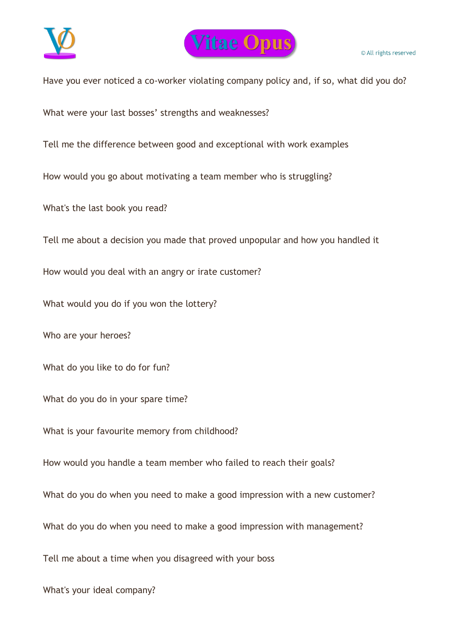



Have you ever noticed a co-worker violating company policy and, if so, what did you do?

What were your last bosses' strengths and weaknesses?

Tell me the difference between good and exceptional with work examples

How would you go about motivating a team member who is struggling?

What's the last book you read?

Tell me about a decision you made that proved unpopular and how you handled it

How would you deal with an angry or irate customer?

What would you do if you won the lottery?

Who are your heroes?

What do you like to do for fun?

What do you do in your spare time?

What is your favourite memory from childhood?

How would you handle a team member who failed to reach their goals?

What do you do when you need to make a good impression with a new customer?

What do you do when you need to make a good impression with management?

Tell me about a time when you disagreed with your boss

What's your ideal company?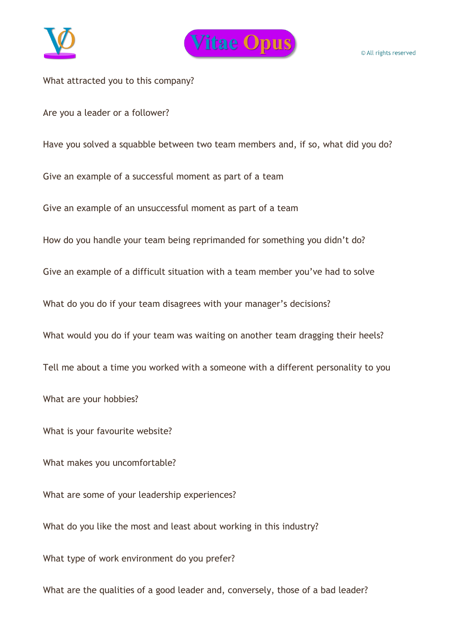



What attracted you to this company?

Are you a leader or a follower?

Have you solved a squabble between two team members and, if so, what did you do?

Give an example of a successful moment as part of a team

Give an example of an unsuccessful moment as part of a team

How do you handle your team being reprimanded for something you didn't do?

Give an example of a difficult situation with a team member you've had to solve

What do you do if your team disagrees with your manager's decisions?

What would you do if your team was waiting on another team dragging their heels?

Tell me about a time you worked with a someone with a different personality to you

What are your hobbies?

What is your favourite website?

What makes you uncomfortable?

What are some of your leadership experiences?

What do you like the most and least about working in this industry?

What type of work environment do you prefer?

What are the qualities of a good leader and, conversely, those of a bad leader?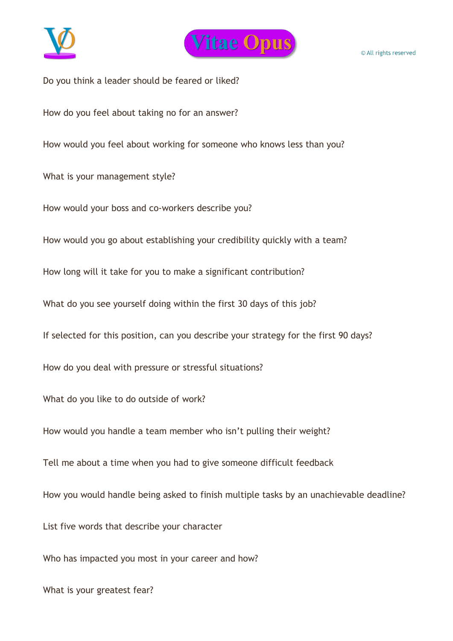



© All rights reserved

Do you think a leader should be feared or liked?

How do you feel about taking no for an answer?

How would you feel about working for someone who knows less than you?

What is your management style?

How would your boss and co-workers describe you?

How would you go about establishing your credibility quickly with a team?

How long will it take for you to make a significant contribution?

What do you see yourself doing within the first 30 days of this job?

If selected for this position, can you describe your strategy for the first 90 days?

How do you deal with pressure or stressful situations?

What do you like to do outside of work?

How would you handle a team member who isn't pulling their weight?

Tell me about a time when you had to give someone difficult feedback

How you would handle being asked to finish multiple tasks by an unachievable deadline?

List five words that describe your character

Who has impacted you most in your career and how?

What is your greatest fear?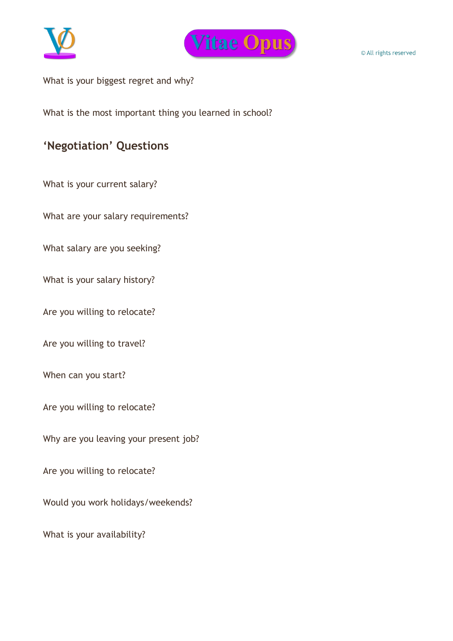



What is your biggest regret and why?

What is the most important thing you learned in school?

# **'Negotiation' Questions**

What is your current salary?

What are your salary requirements?

What salary are you seeking?

What is your salary history?

Are you willing to relocate?

Are you willing to travel?

When can you start?

Are you willing to relocate?

Why are you leaving your present job?

Are you willing to relocate?

Would you work holidays/weekends?

What is your availability?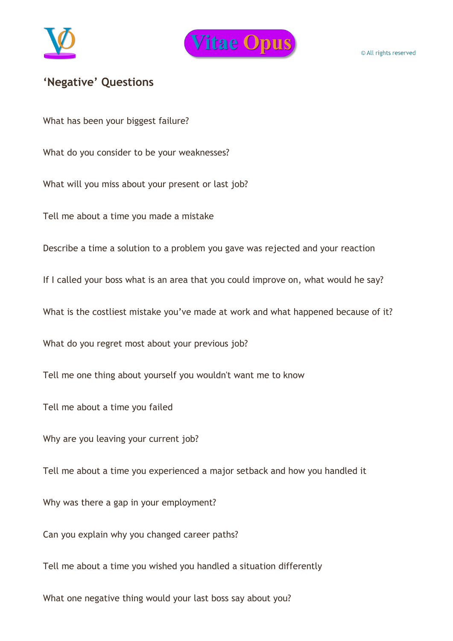



#### **'Negative' Questions**

What has been your biggest failure?

What do you consider to be your weaknesses?

What will you miss about your present or last job?

Tell me about a time you made a mistake

Describe a time a solution to a problem you gave was rejected and your reaction

If I called your boss what is an area that you could improve on, what would he say?

What is the costliest mistake you've made at work and what happened because of it?

What do you regret most about your previous job?

Tell me one thing about yourself you wouldn't want me to know

Tell me about a time you failed

Why are you leaving your current job?

Tell me about a time you experienced a major setback and how you handled it

Why was there a gap in your employment?

Can you explain why you changed career paths?

Tell me about a time you wished you handled a situation differently

What one negative thing would your last boss say about you?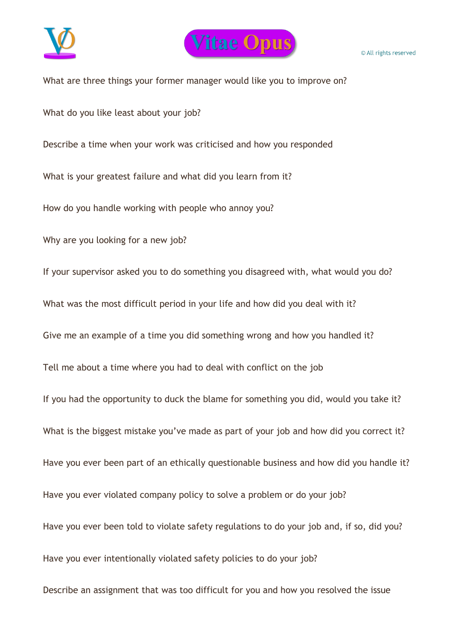



What are three things your former manager would like you to improve on? What do you like least about your job? Describe a time when your work was criticised and how you responded What is your greatest failure and what did you learn from it? How do you handle working with people who annoy you? Why are you looking for a new job? If your supervisor asked you to do something you disagreed with, what would you do? What was the most difficult period in your life and how did you deal with it? Give me an example of a time you did something wrong and how you handled it? Tell me about a time where you had to deal with conflict on the job If you had the opportunity to duck the blame for something you did, would you take it? What is the biggest mistake you've made as part of your job and how did you correct it? Have you ever been part of an ethically questionable business and how did you handle it? Have you ever violated company policy to solve a problem or do your job? Have you ever been told to violate safety regulations to do your job and, if so, did you? Have you ever intentionally violated safety policies to do your job? Describe an assignment that was too difficult for you and how you resolved the issue